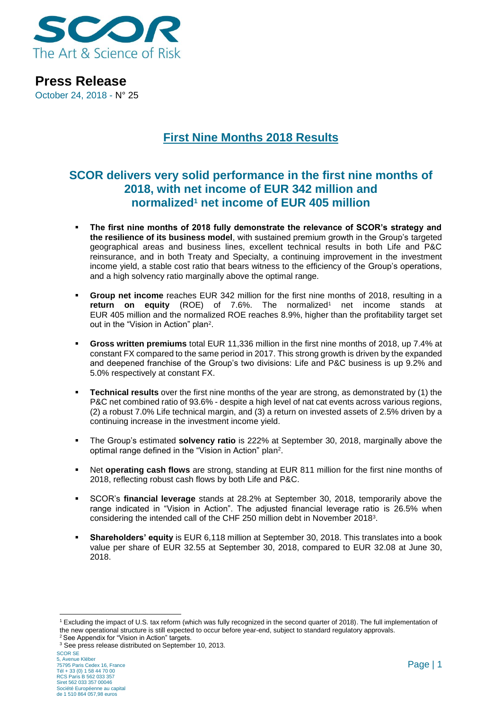

**Press Release** October 24, 2018 - N° 25

## **First Nine Months 2018 Results**

## **SCOR delivers very solid performance in the first nine months of 2018, with net income of EUR 342 million and normalized<sup>1</sup> net income of EUR 405 million**

- The first nine months of 2018 fully demonstrate the relevance of SCOR's strategy and **the resilience of its business model**, with sustained premium growth in the Group's targeted geographical areas and business lines, excellent technical results in both Life and P&C reinsurance, and in both Treaty and Specialty, a continuing improvement in the investment income yield, a stable cost ratio that bears witness to the efficiency of the Group's operations, and a high solvency ratio marginally above the optimal range.
- **Group net income** reaches EUR 342 million for the first nine months of 2018, resulting in a **return on equity** (ROE) of 7.6%. The normalized<sup>1</sup> net income stands at EUR 405 million and the normalized ROE reaches 8.9%, higher than the profitability target set out in the "Vision in Action" plan<sup>2</sup>.
- **Gross written premiums** total EUR 11,336 million in the first nine months of 2018, up 7.4% at constant FX compared to the same period in 2017. This strong growth is driven by the expanded and deepened franchise of the Group's two divisions: Life and P&C business is up 9.2% and 5.0% respectively at constant FX.
- **Technical results** over the first nine months of the year are strong, as demonstrated by (1) the P&C net combined ratio of 93.6% - despite a high level of nat cat events across various regions, (2) a robust 7.0% Life technical margin, and (3) a return on invested assets of 2.5% driven by a continuing increase in the investment income yield.
- The Group's estimated **solvency ratio** is 222% at September 30, 2018, marginally above the optimal range defined in the "Vision in Action" plan<sup>2</sup>.
- Net **operating cash flows** are strong, standing at EUR 811 million for the first nine months of 2018, reflecting robust cash flows by both Life and P&C.
- SCOR's **financial leverage** stands at 28.2% at September 30, 2018, temporarily above the range indicated in "Vision in Action". The adjusted financial leverage ratio is 26.5% when considering the intended call of the CHF 250 million debt in November 2018<sup>3</sup> .
- **Shareholders' equity** is EUR 6,118 million at September 30, 2018. This translates into a book value per share of EUR 32.55 at September 30, 2018, compared to EUR 32.08 at June 30, 2018.

-

<sup>1</sup> Excluding the impact of U.S. tax reform (which was fully recognized in the second quarter of 2018). The full implementation of the new operational structure is still expected to occur before year-end, subject to standard regulatory approvals. <sup>2</sup> See Appendix for "Vision in Action" targets.

<sup>&</sup>lt;sup>3</sup> See press release distributed on September 10, 2013.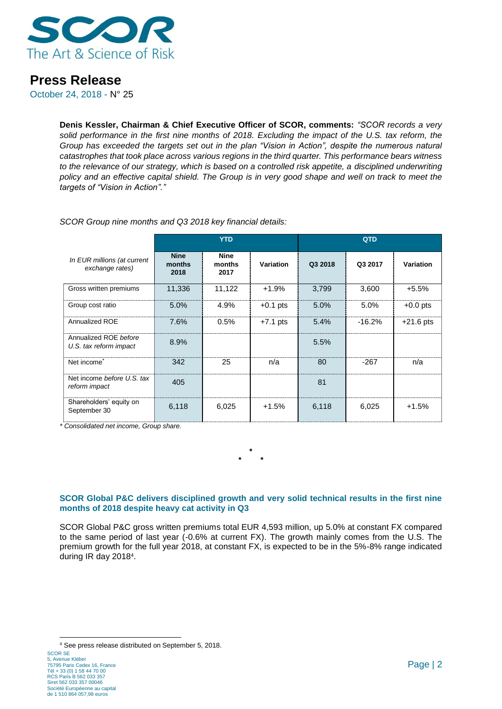

October 24, 2018 - N° 25

**Denis Kessler, Chairman & Chief Executive Officer of SCOR, comments:** *"SCOR records a very solid performance in the first nine months of 2018. Excluding the impact of the U.S. tax reform, the Group has exceeded the targets set out in the plan "Vision in Action", despite the numerous natural catastrophes that took place across various regions in the third quarter. This performance bears witness to the relevance of our strategy, which is based on a controlled risk appetite, a disciplined underwriting policy and an effective capital shield. The Group is in very good shape and well on track to meet the targets of "Vision in Action"."*

|                                                 | <b>YTD</b>                    |                               |            | QTD     |          |             |
|-------------------------------------------------|-------------------------------|-------------------------------|------------|---------|----------|-------------|
| In EUR millions (at current<br>exchange rates)  | <b>Nine</b><br>months<br>2018 | <b>Nine</b><br>months<br>2017 | Variation  | Q3 2018 | Q3 2017  | Variation   |
| Gross written premiums                          | 11,336                        | 11,122                        | $+1.9%$    | 3,799   | 3,600    | $+5.5%$     |
| Group cost ratio                                | 5.0%                          | 4.9%                          | $+0.1$ pts | 5.0%    | 5.0%     | $+0.0$ pts  |
| Annualized ROE                                  | 7.6%                          | 0.5%                          | $+7.1$ pts | 5.4%    | $-16.2%$ | $+21.6$ pts |
| Annualized ROE before<br>U.S. tax reform impact | 8.9%                          |                               |            | 5.5%    |          |             |
| Net income <sup>*</sup>                         | 342                           | 25                            | n/a        | 80      | $-267$   | n/a         |
| Net income before U.S. tax<br>reform impact     | 405                           |                               |            | 81      |          |             |
| Shareholders' equity on<br>September 30         | 6,118                         | 6,025                         | $+1.5%$    | 6,118   | 6,025    | $+1.5%$     |

*SCOR Group nine months and Q3 2018 key financial details:*

*\* Consolidated net income, Group share.*

### **SCOR Global P&C delivers disciplined growth and very solid technical results in the first nine months of 2018 despite heavy cat activity in Q3**

**\* \* \***

SCOR Global P&C gross written premiums total EUR 4,593 million, up 5.0% at constant FX compared to the same period of last year (-0.6% at current FX). The growth mainly comes from the U.S. The premium growth for the full year 2018, at constant FX, is expected to be in the 5%-8% range indicated during IR day 2018<sup>4</sup>.

1

<sup>4</sup> See press release distributed on September 5, 2018.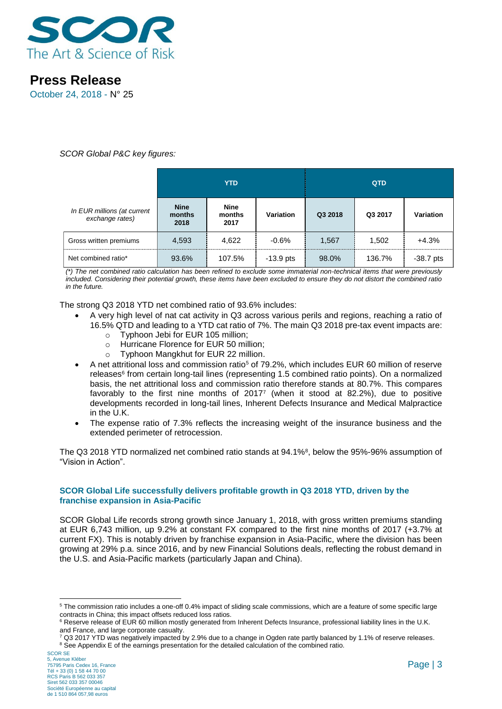

October 24, 2018 - N° 25

### *SCOR Global P&C key figures:*

|                                                | <b>YTD</b>                    |                               |             |         | <b>QTD</b> |             |
|------------------------------------------------|-------------------------------|-------------------------------|-------------|---------|------------|-------------|
| In EUR millions (at current<br>exchange rates) | <b>Nine</b><br>months<br>2018 | <b>Nine</b><br>months<br>2017 | Variation   | Q3 2018 | Q3 2017    | Variation   |
| Gross written premiums                         | 4,593                         | 4.622                         | $-0.6%$     | 1,567   | 1,502      | $+4.3%$     |
| Net combined ratio*                            | 93.6%                         | 107.5%                        | $-13.9$ pts | 98.0%   | 136.7%     | $-38.7$ pts |

*(\*) The net combined ratio calculation has been refined to exclude some immaterial non-technical items that were previously included. Considering their potential growth, these items have been excluded to ensure they do not distort the combined ratio in the future.* 

The strong Q3 2018 YTD net combined ratio of 93.6% includes:

- A very high level of nat cat activity in Q3 across various perils and regions, reaching a ratio of
	- 16.5% QTD and leading to a YTD cat ratio of 7%. The main Q3 2018 pre-tax event impacts are: o Typhoon Jebi for EUR 105 million;
		- o Hurricane Florence for EUR 50 million;
		- o Typhoon Mangkhut for EUR 22 million.
- A net attritional loss and commission ratio<sup>5</sup> of 79.2%, which includes EUR 60 million of reserve releases<sup>6</sup> from certain long-tail lines (representing 1.5 combined ratio points). On a normalized basis, the net attritional loss and commission ratio therefore stands at 80.7%. This compares favorably to the first nine months of 2017<sup>7</sup> (when it stood at 82.2%), due to positive developments recorded in long-tail lines, Inherent Defects Insurance and Medical Malpractice in the U.K.
- The expense ratio of 7.3% reflects the increasing weight of the insurance business and the extended perimeter of retrocession.

The Q3 2018 YTD normalized net combined ratio stands at 94.1%<sup>8</sup>, below the 95%-96% assumption of "Vision in Action".

### **SCOR Global Life successfully delivers profitable growth in Q3 2018 YTD, driven by the franchise expansion in Asia-Pacific**

SCOR Global Life records strong growth since January 1, 2018, with gross written premiums standing at EUR 6,743 million, up 9.2% at constant FX compared to the first nine months of 2017 (+3.7% at current FX). This is notably driven by franchise expansion in Asia-Pacific, where the division has been growing at 29% p.a. since 2016, and by new Financial Solutions deals, reflecting the robust demand in the U.S. and Asia-Pacific markets (particularly Japan and China).

-

<sup>5</sup> The commission ratio includes a one-off 0.4% impact of sliding scale commissions, which are a feature of some specific large contracts in China; this impact offsets reduced loss ratios.

<sup>&</sup>lt;sup>6</sup> Reserve release of EUR 60 million mostly generated from Inherent Defects Insurance, professional liability lines in the U.K. and France, and large corporate casualty.

 $7$  Q3 2017 YTD was negatively impacted by 2.9% due to a change in Ogden rate partly balanced by 1.1% of reserve releases. <sup>8</sup> See Appendix E of the earnings presentation for the detailed calculation of the combined ratio.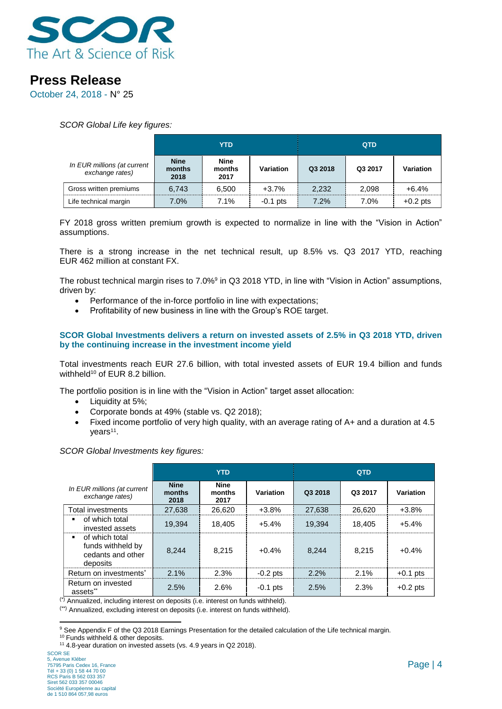

October 24, 2018 - N° 25

*SCOR Global Life key figures:* 

|                                                | YTD                           |                               |            | <b>QTD</b> |         |            |
|------------------------------------------------|-------------------------------|-------------------------------|------------|------------|---------|------------|
| In EUR millions (at current<br>exchange rates) | <b>Nine</b><br>months<br>2018 | <b>Nine</b><br>months<br>2017 | Variation  | Q3 2018    | Q3 2017 | Variation  |
| Gross written premiums                         | 6.743                         | 6.500                         | $+3.7%$    | 2.232      | 2.098   | $+6.4%$    |
| Life technical margin                          | 7.0%                          | $7.1\%$                       | $-0.1$ pts | 7.2%       | 7.0%    | $+0.2$ pts |

FY 2018 gross written premium growth is expected to normalize in line with the "Vision in Action" assumptions.

There is a strong increase in the net technical result, up 8.5% vs. Q3 2017 YTD, reaching EUR 462 million at constant FX.

The robust technical margin rises to 7.0%<sup>9</sup> in Q3 2018 YTD, in line with "Vision in Action" assumptions, driven by:

- Performance of the in-force portfolio in line with expectations;
- Profitability of new business in line with the Group's ROE target.

### **SCOR Global Investments delivers a return on invested assets of 2.5% in Q3 2018 YTD, driven by the continuing increase in the investment income yield**

Total investments reach EUR 27.6 billion, with total invested assets of EUR 19.4 billion and funds withheld<sup>10</sup> of EUR 8.2 billion.

The portfolio position is in line with the "Vision in Action" target asset allocation:

- Liquidity at 5%:
- Corporate bonds at 49% (stable vs. Q2 2018);
- Fixed income portfolio of very high quality, with an average rating of A+ and a duration at 4.5 years<sup>11</sup>.

*SCOR Global Investments key figures:*

|                                                                      | <b>YTD</b>                    |                               |            | <b>QTD</b> |         |            |
|----------------------------------------------------------------------|-------------------------------|-------------------------------|------------|------------|---------|------------|
| In EUR millions (at current<br>exchange rates)                       | <b>Nine</b><br>months<br>2018 | <b>Nine</b><br>months<br>2017 | Variation  | Q3 2018    | Q3 2017 | Variation  |
| <b>Total investments</b>                                             | 27.638                        | 26.620                        | $+3.8%$    | 27.638     | 26,620  | $+3.8%$    |
| of which total<br>invested assets                                    | 19.394                        | 18.405                        | $+5.4%$    | 19.394     | 18.405  | $+5.4%$    |
| of which total<br>funds withheld by<br>cedants and other<br>deposits | 8.244                         | 8.215                         | $+0.4%$    | 8.244      | 8.215   | $+0.4%$    |
| Return on investments <sup>*</sup>                                   | 2.1%                          | 2.3%                          | $-0.2$ pts | $2.2\%$    | 2.1%    | $+0.1$ pts |
| Return on invested<br>assets <sup>**</sup>                           | 2.5%                          | 2.6%                          | $-0.1$ pts | 2.5%       | 2.3%    | $+0.2$ pts |

(\*) Annualized, including interest on deposits (i.e. interest on funds withheld).

(\*\*) Annualized, excluding interest on deposits (i.e. interest on funds withheld).

<sup>1</sup> <sup>9</sup> See Appendix F of the Q3 2018 Earnings Presentation for the detailed calculation of the Life technical margin.

<sup>&</sup>lt;sup>10</sup> Funds withheld & other deposits.

<sup>&</sup>lt;sup>11</sup> 4.8-year duration on invested assets (vs. 4.9 years in Q2 2018).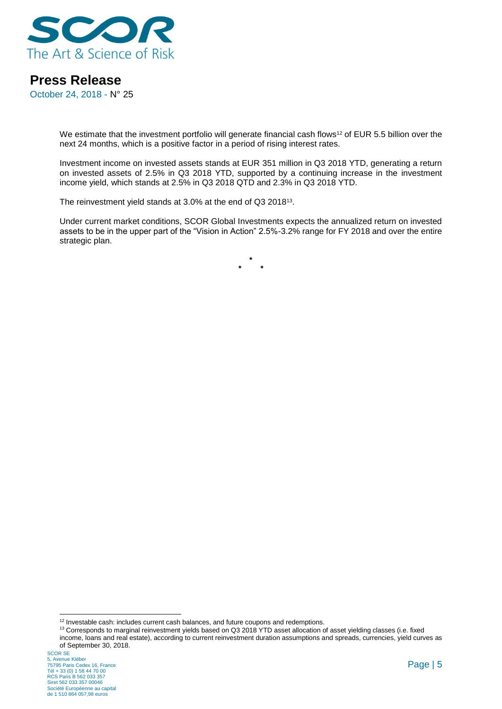

October 24, 2018 - N° 25

We estimate that the investment portfolio will generate financial cash flows<sup>12</sup> of EUR 5.5 billion over the next 24 months, which is a positive factor in a period of rising interest rates.

Investment income on invested assets stands at EUR 351 million in Q3 2018 YTD, generating a return on invested assets of 2.5% in Q3 2018 YTD, supported by a continuing increase in the investment income yield, which stands at 2.5% in Q3 2018 QTD and 2.3% in Q3 2018 YTD.

The reinvestment yield stands at 3.0% at the end of Q3 2018<sup>13</sup>.

Under current market conditions, SCOR Global Investments expects the annualized return on invested assets to be in the upper part of the "Vision in Action" 2.5%-3.2% range for FY 2018 and over the entire strategic plan.

> **\* \* \***

-

 $12$  Investable cash: includes current cash balances, and future coupons and redemptions.

<sup>13</sup> Corresponds to marginal reinvestment yields based on Q3 2018 YTD asset allocation of asset yielding classes (i.e. fixed income, loans and real estate), according to current reinvestment duration assumptions and spreads, currencies, yield curves as of September 30, 2018.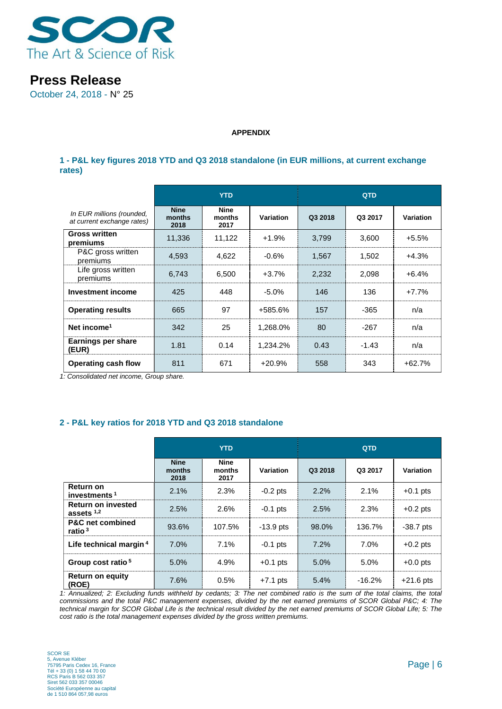

October 24, 2018 - N° 25

#### **APPENDIX**

### **1 - P&L key figures 2018 YTD and Q3 2018 standalone (in EUR millions, at current exchange rates)**

|                                                         | <b>YTD</b>                    |                               |           | <b>QTD</b> |         |           |
|---------------------------------------------------------|-------------------------------|-------------------------------|-----------|------------|---------|-----------|
| In EUR millions (rounded,<br>at current exchange rates) | <b>Nine</b><br>months<br>2018 | <b>Nine</b><br>months<br>2017 | Variation | Q3 2018    | Q3 2017 | Variation |
| <b>Gross written</b><br>premiums                        | 11,336                        | 11,122                        | $+1.9%$   | 3,799      | 3,600   | $+5.5%$   |
| P&C gross written<br>premiums                           | 4,593                         | 4,622                         | $-0.6%$   | 1,567      | 1,502   | $+4.3%$   |
| Life gross written<br>premiums                          | 6,743                         | 6,500                         | $+3.7%$   | 2,232      | 2,098   | $+6.4%$   |
| <b>Investment income</b>                                | 425                           | 448                           | $-5.0%$   | 146        | 136     | $+7.7%$   |
| <b>Operating results</b>                                | 665                           | 97                            | +585.6%   | 157        | $-365$  | n/a       |
| Net income <sup>1</sup>                                 | 342                           | 25                            | 1,268.0%  | 80         | $-267$  | n/a       |
| Earnings per share<br>(EUR)                             | 1.81                          | 0.14                          | 1,234.2%  | 0.43       | $-1.43$ | n/a       |
| <b>Operating cash flow</b>                              | 811                           | 671                           | $+20.9%$  | 558        | 343     | $+62.7%$  |

*1: Consolidated net income, Group share.*

## **2 - P&L key ratios for 2018 YTD and Q3 2018 standalone**

|                                                   | <b>YTD</b>                    |                        |             | <b>QTD</b> |          |                  |
|---------------------------------------------------|-------------------------------|------------------------|-------------|------------|----------|------------------|
|                                                   | <b>Nine</b><br>months<br>2018 | Nine<br>months<br>2017 | Variation   | Q3 2018    | Q3 2017  | <b>Variation</b> |
| <b>Return on</b><br>investments <sup>1</sup>      | 2.1%                          | 2.3%                   | $-0.2$ pts  | 2.2%       | 2.1%     | $+0.1$ pts       |
| Return on invested<br>assets $1,2$                | 2.5%                          | 2.6%                   | $-0.1$ pts  | 2.5%       | 2.3%     | $+0.2$ pts       |
| <b>P&amp;C</b> net combined<br>ratio <sup>3</sup> | 93.6%                         | 107.5%                 | $-13.9$ pts | 98.0%      | 136.7%   | $-38.7$ pts      |
| Life technical margin 4                           | 7.0%                          | 7.1%                   | $-0.1$ pts  | 7.2%       | 7.0%     | $+0.2$ pts       |
| Group cost ratio <sup>5</sup>                     | 5.0%                          | 4.9%                   | $+0.1$ pts  | 5.0%       | 5.0%     | $+0.0$ pts       |
| <b>Return on equity</b><br>(ROE)                  | 7.6%                          | 0.5%                   | $+7.1$ pts  | 5.4%       | $-16.2%$ | $+21.6$ pts      |

*1: Annualized; 2: Excluding funds withheld by cedants; 3: The net combined ratio is the sum of the total claims, the total commissions and the total P&C management expenses, divided by the net earned premiums of SCOR Global P&C; 4: The technical margin for SCOR Global Life is the technical result divided by the net earned premiums of SCOR Global Life; 5: The cost ratio is the total management expenses divided by the gross written premiums.*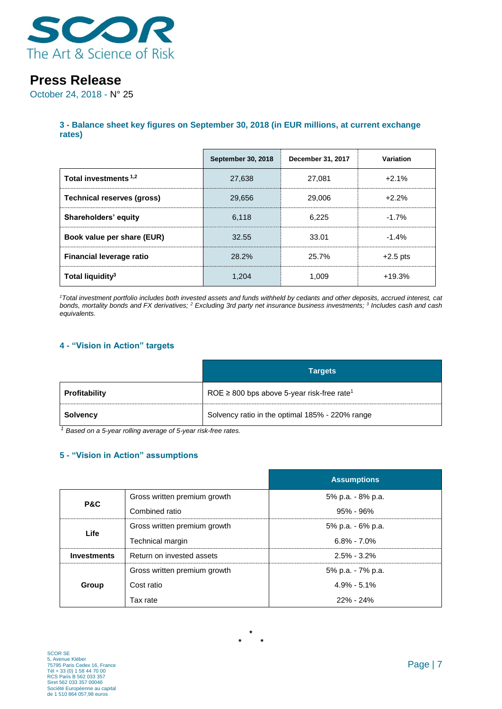

October 24, 2018 - N° 25

### **3 - Balance sheet key figures on September 30, 2018 (in EUR millions, at current exchange rates)**

|                                  | <b>September 30, 2018</b> | December 31, 2017 | Variation  |
|----------------------------------|---------------------------|-------------------|------------|
| Total investments <sup>1,2</sup> | 27,638                    | 27.081            | $+2.1%$    |
| Technical reserves (gross)       | 29.656                    | 29,006            | $+2.2%$    |
| Shareholders' equity             | 6.118                     | 6.225             | $-1.7%$    |
| Book value per share (EUR)       | 32.55                     | 33.01             | $-1.4%$    |
| <b>Financial leverage ratio</b>  | 28.2%                     | 25.7%             | $+2.5$ pts |
| Total liquidity <sup>3</sup>     | 1.204                     | 1.009             | $+19.3%$   |

*<sup>1</sup>Total investment portfolio includes both invested assets and funds withheld by cedants and other deposits, accrued interest, cat bonds, mortality bonds and FX derivatives; <sup>2</sup> Excluding 3rd party net insurance business investments; <sup>3</sup> Includes cash and cash equivalents.*

### **4 - "Vision in Action" targets**

|                      | <b>Targets</b>                                              |
|----------------------|-------------------------------------------------------------|
| <b>Profitability</b> | ROE $\geq$ 800 bps above 5-year risk-free rate <sup>1</sup> |
| <b>Solvency</b>      | Solvency ratio in the optimal 185% - 220% range             |

*<sup>1</sup> Based on a 5-year rolling average of 5-year risk-free rates.*

## **5 - "Vision in Action" assumptions**

|                    |                              | <b>Assumptions</b> |
|--------------------|------------------------------|--------------------|
| P&C                | Gross written premium growth | 5% p.a. - 8% p.a.  |
|                    | Combined ratio               | $95\% - 96\%$      |
| Life               | Gross written premium growth | 5% p.a. - 6% p.a.  |
|                    | Technical margin             | $6.8\% - 7.0\%$    |
| <b>Investments</b> | Return on invested assets    | $2.5\% - 3.2\%$    |
|                    | Gross written premium growth | 5% p.a. - 7% p.a.  |
| Group              | Cost ratio                   | $4.9\% - 5.1\%$    |
|                    | Tax rate                     | $22\% - 24\%$      |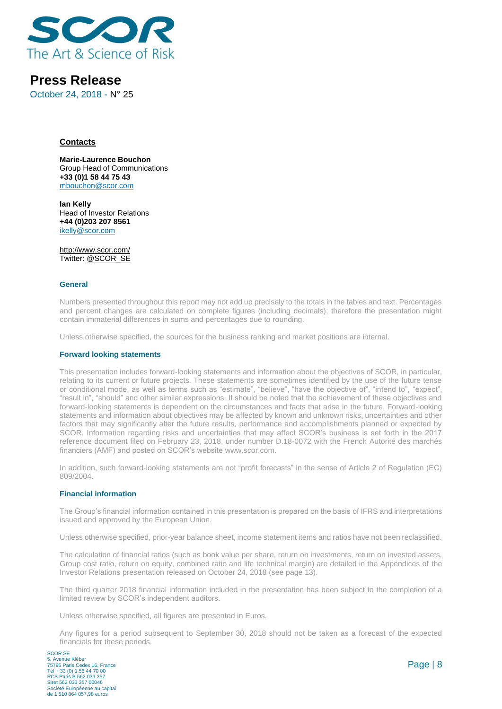

October 24, 2018 - N° 25

#### **Contacts**

**Marie-Laurence Bouchon** Group Head of Communications **+33 (0)1 58 44 75 43** [mbouchon@scor.com](mailto:mbouchon@scor.com)

**Ian Kelly** Head of Investor Relations **+44 (0)203 207 8561** [ikelly@scor.com](mailto:ikelly@scor.com)

[http://www.scor.com/](http://www.scor.com/en/) Twitter: [@SCOR\\_SE](https://twitter.com/SCOR_SE)

#### **General**

Numbers presented throughout this report may not add up precisely to the totals in the tables and text. Percentages and percent changes are calculated on complete figures (including decimals); therefore the presentation might contain immaterial differences in sums and percentages due to rounding.

Unless otherwise specified, the sources for the business ranking and market positions are internal.

#### **Forward looking statements**

This presentation includes forward-looking statements and information about the objectives of SCOR, in particular, relating to its current or future projects. These statements are sometimes identified by the use of the future tense or conditional mode, as well as terms such as "estimate", "believe", "have the objective of", "intend to", "expect", "result in", "should" and other similar expressions. It should be noted that the achievement of these objectives and forward-looking statements is dependent on the circumstances and facts that arise in the future. Forward-looking statements and information about objectives may be affected by known and unknown risks, uncertainties and other factors that may significantly alter the future results, performance and accomplishments planned or expected by SCOR. Information regarding risks and uncertainties that may affect SCOR's business is set forth in the 2017 reference document filed on February 23, 2018, under number D.18-0072 with the French Autorité des marchés financiers (AMF) and posted on SCOR's website [www.scor.com.](http://www.scor.com/)

In addition, such forward-looking statements are not "profit forecasts" in the sense of Article 2 of Regulation (EC) 809/2004.

#### **Financial information**

The Group's financial information contained in this presentation is prepared on the basis of IFRS and interpretations issued and approved by the European Union.

Unless otherwise specified, prior-year balance sheet, income statement items and ratios have not been reclassified.

The calculation of financial ratios (such as book value per share, return on investments, return on invested assets, Group cost ratio, return on equity, combined ratio and life technical margin) are detailed in the Appendices of the Investor Relations presentation released on October 24, 2018 (see page 13).

The third quarter 2018 financial information included in the presentation has been subject to the completion of a limited review by SCOR's independent auditors.

Unless otherwise specified, all figures are presented in Euros.

Any figures for a period subsequent to September 30, 2018 should not be taken as a forecast of the expected financials for these periods.